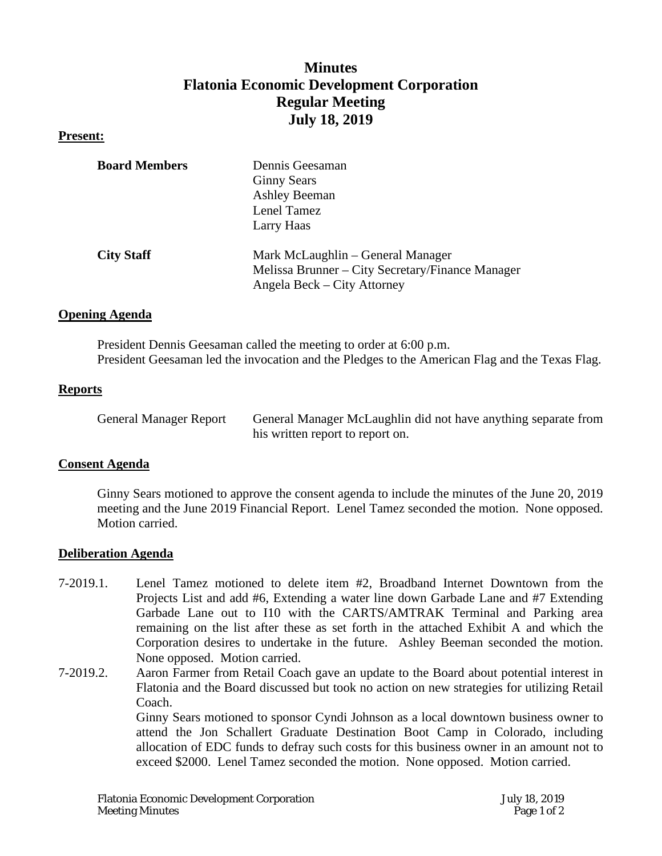# **Minutes Flatonia Economic Development Corporation Regular Meeting July 18, 2019**

## **Present:**

| <b>Board Members</b> | Dennis Geesaman                                  |
|----------------------|--------------------------------------------------|
|                      | <b>Ginny Sears</b>                               |
|                      | <b>Ashley Beeman</b>                             |
|                      | Lenel Tamez                                      |
|                      | Larry Haas                                       |
| <b>City Staff</b>    | Mark McLaughlin – General Manager                |
|                      | Melissa Brunner – City Secretary/Finance Manager |
|                      | Angela Beck – City Attorney                      |

## **Opening Agenda**

President Dennis Geesaman called the meeting to order at 6:00 p.m. President Geesaman led the invocation and the Pledges to the American Flag and the Texas Flag.

## **Reports**

| <b>General Manager Report</b> | General Manager McLaughlin did not have anything separate from |
|-------------------------------|----------------------------------------------------------------|
|                               | his written report to report on.                               |

#### **Consent Agenda**

Ginny Sears motioned to approve the consent agenda to include the minutes of the June 20, 2019 meeting and the June 2019 Financial Report. Lenel Tamez seconded the motion. None opposed. Motion carried.

#### **Deliberation Agenda**

- 7-2019.1. Lenel Tamez motioned to delete item #2, Broadband Internet Downtown from the Projects List and add #6, Extending a water line down Garbade Lane and #7 Extending Garbade Lane out to I10 with the CARTS/AMTRAK Terminal and Parking area remaining on the list after these as set forth in the attached Exhibit A and which the Corporation desires to undertake in the future. Ashley Beeman seconded the motion. None opposed. Motion carried.
- 7-2019.2. Aaron Farmer from Retail Coach gave an update to the Board about potential interest in Flatonia and the Board discussed but took no action on new strategies for utilizing Retail Coach.

Ginny Sears motioned to sponsor Cyndi Johnson as a local downtown business owner to attend the Jon Schallert Graduate Destination Boot Camp in Colorado, including allocation of EDC funds to defray such costs for this business owner in an amount not to exceed \$2000. Lenel Tamez seconded the motion. None opposed. Motion carried.